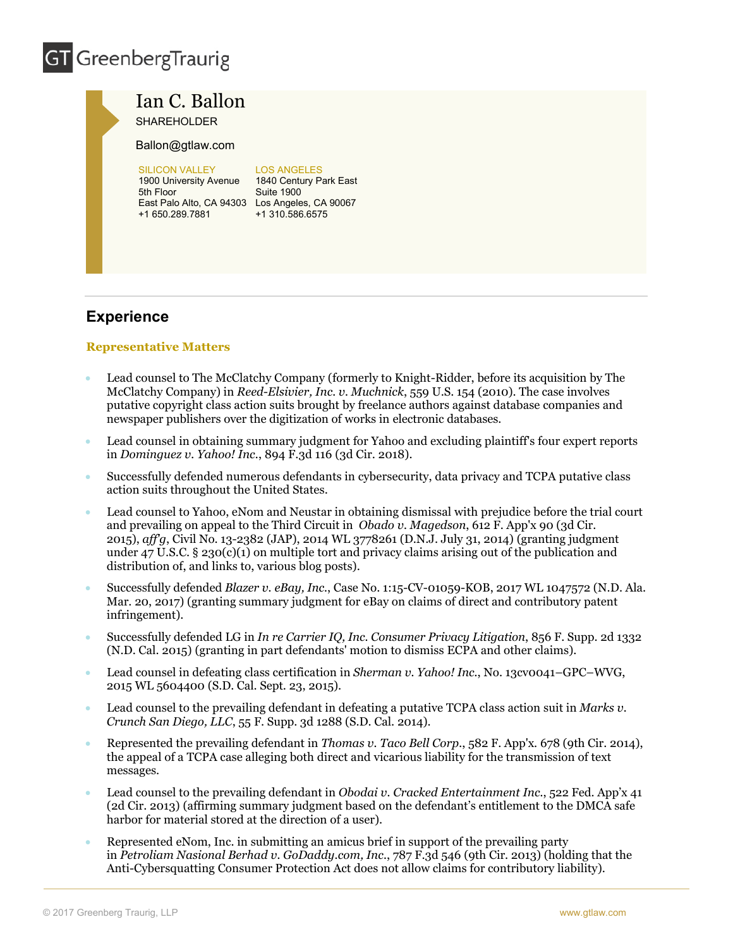# **GT** GreenbergTraurig



Ian C. Ballon SHAREHOLDER

Ballon@gtlaw.com

**SILICON VALLEY** 1900 University Avenue 1840 Century Park East 5th Floor East Palo Alto, CA 94303 Los Angeles, CA 90067 +1 650.289.7881 +1 310.586.6575

#### LOS ANGELES

Suite 1900

### **Experience**

#### **Representative Matters**

- Lead counsel to The McClatchy Company (formerly to Knight-Ridder, before its acquisition by The McClatchy Company) in *Reed-Elsivier, Inc. v. Muchnick*, 559 U.S. 154 (2010). The case involves putative copyright class action suits brought by freelance authors against database companies and newspaper publishers over the digitization of works in electronic databases.
- Lead counsel in obtaining summary judgment for Yahoo and excluding plaintiff's four expert reports in *Dominguez v. Yahoo! Inc.*, 894 F.3d 116 (3d Cir. 2018).
- Successfully defended numerous defendants in cybersecurity, data privacy and TCPA putative class action suits throughout the United States.
- Lead counsel to Yahoo, eNom and Neustar in obtaining dismissal with prejudice before the trial court and prevailing on appeal to the Third Circuit in *Obado v. Magedson*, 612 F. App'x 90 (3d Cir. 2015), *aff'g*, Civil No. 13-2382 (JAP), 2014 WL 3778261 (D.N.J. July 31, 2014) (granting judgment under 47 U.S.C. § 230(c)(1) on multiple tort and privacy claims arising out of the publication and distribution of, and links to, various blog posts).
- Successfully defended *Blazer v. eBay, Inc.*, Case No. 1:15-CV-01059-KOB, 2017 WL 1047572 (N.D. Ala. Mar. 20, 2017) (granting summary judgment for eBay on claims of direct and contributory patent infringement).
- Successfully defended LG in *In re Carrier IQ, Inc. Consumer Privacy Litigation*, 856 F. Supp. 2d 1332 (N.D. Cal. 2015) (granting in part defendants' motion to dismiss ECPA and other claims).
- Lead counsel in defeating class certification in *Sherman v. Yahoo! Inc.*, No. 13cv0041–GPC–WVG, 2015 WL 5604400 (S.D. Cal. Sept. 23, 2015).
- Lead counsel to the prevailing defendant in defeating a putative TCPA class action suit in *Marks v. Crunch San Diego, LLC*, 55 F. Supp. 3d 1288 (S.D. Cal. 2014).
- Represented the prevailing defendant in *Thomas v. Taco Bell Corp.*, 582 F. App'x. 678 (9th Cir. 2014), the appeal of a TCPA case alleging both direct and vicarious liability for the transmission of text messages.
- Lead counsel to the prevailing defendant in *Obodai v. Cracked Entertainment Inc.*, 522 Fed. App'x 41 (2d Cir. 2013) (affirming summary judgment based on the defendant's entitlement to the DMCA safe harbor for material stored at the direction of a user).
- Represented eNom, Inc. in submitting an amicus brief in support of the prevailing party in *Petroliam Nasional Berhad v. GoDaddy.com, Inc.*, 787 F.3d 546 (9th Cir. 2013) (holding that the Anti-Cybersquatting Consumer Protection Act does not allow claims for contributory liability).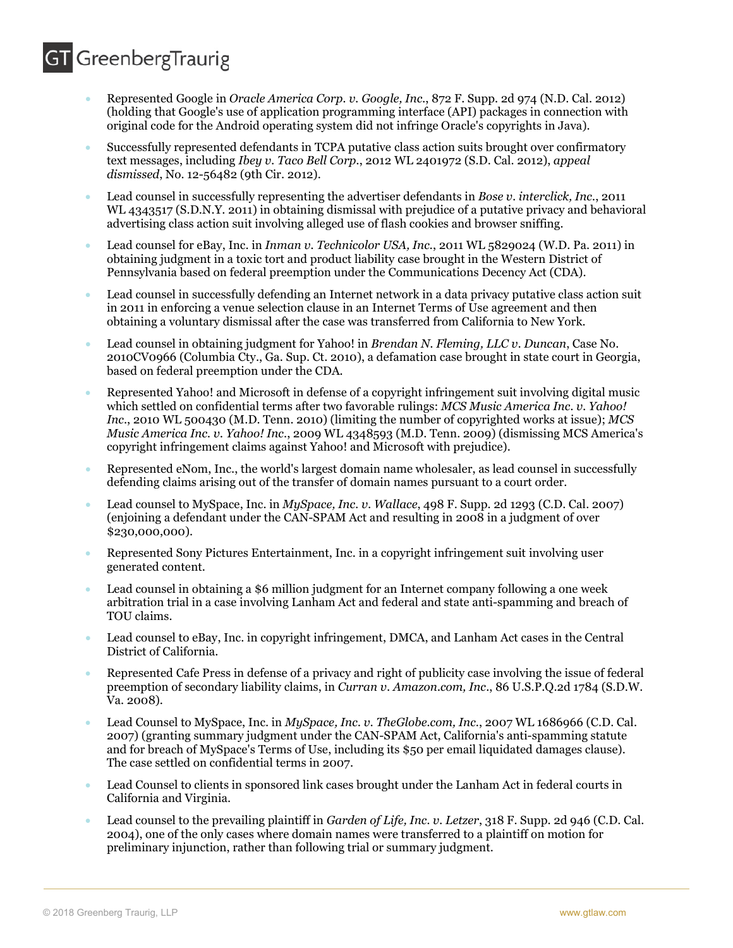### **GT** GreenbergTraurig

- Represented Google in *Oracle America Corp. v. Google, Inc.*, 872 F. Supp. 2d 974 (N.D. Cal. 2012) (holding that Google's use of application programming interface (API) packages in connection with original code for the Android operating system did not infringe Oracle's copyrights in Java).
- Successfully represented defendants in TCPA putative class action suits brought over confirmatory text messages, including *Ibey v. Taco Bell Corp.*, 2012 WL 2401972 (S.D. Cal. 2012), *appeal dismissed*, No. 12-56482 (9th Cir. 2012).
- Lead counsel in successfully representing the advertiser defendants in *Bose v. interclick, Inc.*, 2011 WL 4343517 (S.D.N.Y. 2011) in obtaining dismissal with prejudice of a putative privacy and behavioral advertising class action suit involving alleged use of flash cookies and browser sniffing.
- Lead counsel for eBay, Inc. in *Inman v. Technicolor USA, Inc.*, 2011 WL 5829024 (W.D. Pa. 2011) in obtaining judgment in a toxic tort and product liability case brought in the Western District of Pennsylvania based on federal preemption under the Communications Decency Act (CDA).
- Lead counsel in successfully defending an Internet network in a data privacy putative class action suit in 2011 in enforcing a venue selection clause in an Internet Terms of Use agreement and then obtaining a voluntary dismissal after the case was transferred from California to New York.
- Lead counsel in obtaining judgment for Yahoo! in *Brendan N. Fleming, LLC v. Duncan*, Case No. 2010CV0966 (Columbia Cty., Ga. Sup. Ct. 2010), a defamation case brought in state court in Georgia, based on federal preemption under the CDA.
- Represented Yahoo! and Microsoft in defense of a copyright infringement suit involving digital music which settled on confidential terms after two favorable rulings: *MCS Music America Inc. v. Yahoo! Inc*., 2010 WL 500430 (M.D. Tenn. 2010) (limiting the number of copyrighted works at issue); *MCS Music America Inc. v. Yahoo! Inc*., 2009 WL 4348593 (M.D. Tenn. 2009) (dismissing MCS America's copyright infringement claims against Yahoo! and Microsoft with prejudice).
- Represented eNom, Inc., the world's largest domain name wholesaler, as lead counsel in successfully defending claims arising out of the transfer of domain names pursuant to a court order.
- Lead counsel to MySpace, Inc. in *MySpace, Inc. v. Wallace*, 498 F. Supp. 2d 1293 (C.D. Cal. 2007) (enjoining a defendant under the CAN-SPAM Act and resulting in 2008 in a judgment of over \$230,000,000).
- Represented Sony Pictures Entertainment, Inc. in a copyright infringement suit involving user generated content.
- Lead counsel in obtaining a \$6 million judgment for an Internet company following a one week arbitration trial in a case involving Lanham Act and federal and state anti-spamming and breach of TOU claims.
- Lead counsel to eBay, Inc. in copyright infringement, DMCA, and Lanham Act cases in the Central District of California.
- Represented Cafe Press in defense of a privacy and right of publicity case involving the issue of federal preemption of secondary liability claims, in *Curran v. Amazon.com, Inc*., 86 U.S.P.Q.2d 1784 (S.D.W. Va. 2008).
- Lead Counsel to MySpace, Inc. in *MySpace, Inc. v. TheGlobe.com, Inc*., 2007 WL 1686966 (C.D. Cal. 2007) (granting summary judgment under the CAN-SPAM Act, California's anti-spamming statute and for breach of MySpace's Terms of Use, including its \$50 per email liquidated damages clause). The case settled on confidential terms in 2007.
- Lead Counsel to clients in sponsored link cases brought under the Lanham Act in federal courts in California and Virginia.
- Lead counsel to the prevailing plaintiff in *Garden of Life, Inc. v. Letzer*, 318 F. Supp. 2d 946 (C.D. Cal. 2004), one of the only cases where domain names were transferred to a plaintiff on motion for preliminary injunction, rather than following trial or summary judgment.